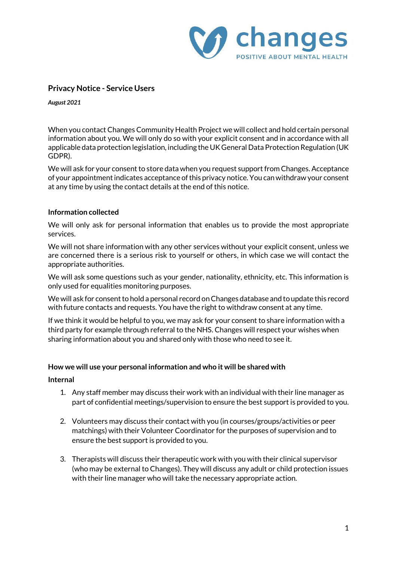

## **Privacy Notice - Service Users**

*August 2021*

When you contact Changes Community Health Project we will collect and hold certain personal information about you. We will only do so with your explicit consent and in accordance with all applicable data protection legislation, including the UK General Data Protection Regulation (UK GDPR).

We will ask for your consent to store data when you request support from Changes. Acceptance of your appointment indicates acceptance of this privacy notice. You can withdraw your consent at any time by using the contact details at the end of this notice.

### **Information collected**

We will only ask for personal information that enables us to provide the most appropriate services.

We will not share information with any other services without your explicit consent, unless we are concerned there is a serious risk to yourself or others, in which case we will contact the appropriate authorities.

We will ask some questions such as your gender, nationality, ethnicity, etc. This information is only used for equalities monitoring purposes.

We will ask for consent to hold a personal record on Changes database and to update this record with future contacts and requests. You have the right to withdraw consent at any time.

If we think it would be helpful to you, we may ask for your consent to share information with a third party for example through referral to the NHS. Changes will respect your wishes when sharing information about you and shared only with those who need to see it.

#### **How we will use your personal information and who it will be shared with**

#### **Internal**

- 1. Any staff member may discuss their work with an individual with their line manager as part of confidential meetings/supervision to ensure the best support is provided to you.
- 2. Volunteers may discuss their contact with you (in courses/groups/activities or peer matchings) with their Volunteer Coordinator for the purposes of supervision and to ensure the best support is provided to you.
- 3. Therapists will discuss their therapeutic work with you with their clinical supervisor (who may be external to Changes). They will discuss any adult or child protection issues with their line manager who will take the necessary appropriate action.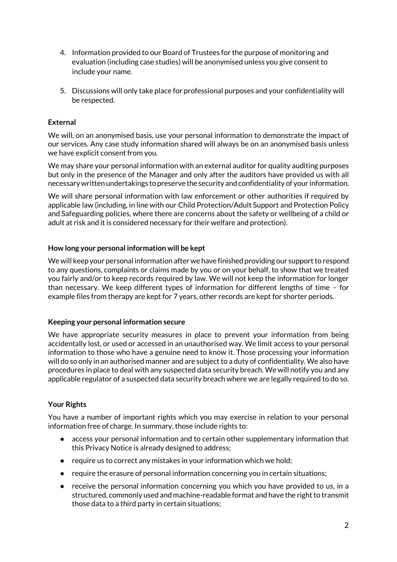- 4. Information provided to our Board of Trustees for the purpose of monitoring and evaluation (including case studies) will be anonymised unless you give consent to include your name.
- 5. Discussions will only take place for professional purposes and your confidentiality will be respected.

# **External**

We will, on an anonymised basis, use your personal information to demonstrate the impact of our services. Any case study information shared will always be on an anonymised basis unless we have explicit consent from you.

We may share your personal information with an external auditor for quality auditing purposes but only in the presence of the Manager and only after the auditors have provided us with all necessary written undertakings to preserve the security and confidentiality of your information.

We will share personal information with law enforcement or other authorities if required by applicable law (including, in line with our Child Protection/Adult Support and Protection Policy and Safeguarding policies, where there are concerns about the safety or wellbeing of a child or adult at risk and it is considered necessary for their welfare and protection).

### **How long your personal information will be kept**

We will keep your personal information after we have finished providing our support to respond to any questions, complaints or claims made by you or on your behalf, to show that we treated you fairly and/or to keep records required by law. We will not keep the information for longer than necessary. We keep different types of information for different lengths of time – for example files from therapy are kept for 7 years, other records are kept for shorter periods.

### **Keeping your personal information secure**

We have appropriate security measures in place to prevent your information from being accidentally lost, or used or accessed in an unauthorised way. We limit access to your personal information to those who have a genuine need to know it. Those processing your information will do so only in an authorised manner and are subject to a duty of confidentiality. We also have procedures in place to deal with any suspected data security breach. We will notify you and any applicable regulator of a suspected data security breach where we are legally required to do so.

### **Your Rights**

You have a number of important rights which you may exercise in relation to your personal information free of charge. In summary, those include rights to:

- access your personal information and to certain other supplementary information that this Privacy Notice is already designed to address;
- require us to correct any mistakes in your information which we hold;
- require the erasure of personal information concerning you in certain situations;
- receive the personal information concerning you which you have provided to us, in a structured, commonly used and machine-readable format and have the right to transmit those data to a third party in certain situations;